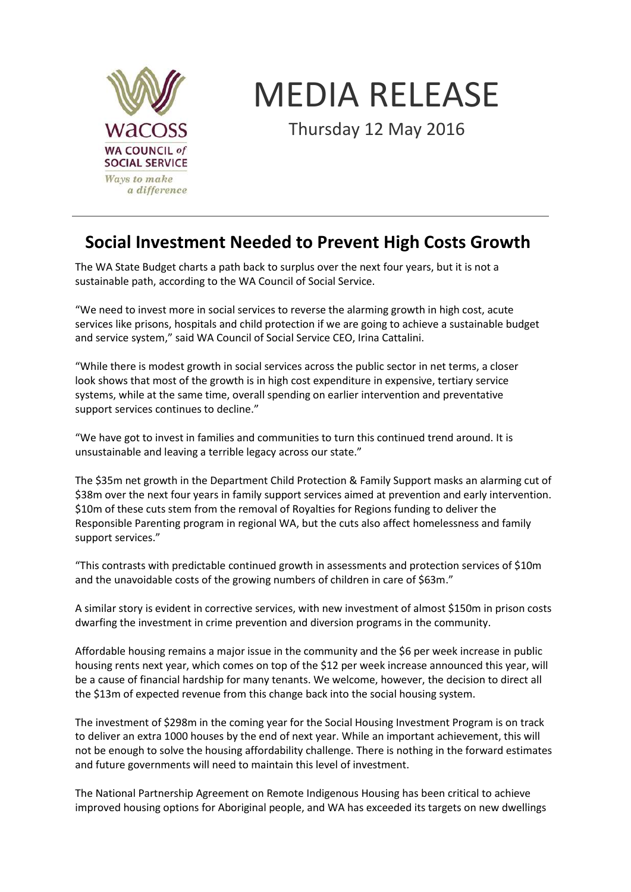

## MEDIA RELEASE

Thursday 12 May 2016

## **Social Investment Needed to Prevent High Costs Growth**

The WA State Budget charts a path back to surplus over the next four years, but it is not a sustainable path, according to the WA Council of Social Service.

"We need to invest more in social services to reverse the alarming growth in high cost, acute services like prisons, hospitals and child protection if we are going to achieve a sustainable budget and service system," said WA Council of Social Service CEO, Irina Cattalini.

"While there is modest growth in social services across the public sector in net terms, a closer look shows that most of the growth is in high cost expenditure in expensive, tertiary service systems, while at the same time, overall spending on earlier intervention and preventative support services continues to decline."

"We have got to invest in families and communities to turn this continued trend around. It is unsustainable and leaving a terrible legacy across our state."

The \$35m net growth in the Department Child Protection & Family Support masks an alarming cut of \$38m over the next four years in family support services aimed at prevention and early intervention. \$10m of these cuts stem from the removal of Royalties for Regions funding to deliver the Responsible Parenting program in regional WA, but the cuts also affect homelessness and family support services."

"This contrasts with predictable continued growth in assessments and protection services of \$10m and the unavoidable costs of the growing numbers of children in care of \$63m."

A similar story is evident in corrective services, with new investment of almost \$150m in prison costs dwarfing the investment in crime prevention and diversion programs in the community.

Affordable housing remains a major issue in the community and the \$6 per week increase in public housing rents next year, which comes on top of the \$12 per week increase announced this year, will be a cause of financial hardship for many tenants. We welcome, however, the decision to direct all the \$13m of expected revenue from this change back into the social housing system.

The investment of \$298m in the coming year for the Social Housing Investment Program is on track to deliver an extra 1000 houses by the end of next year. While an important achievement, this will not be enough to solve the housing affordability challenge. There is nothing in the forward estimates and future governments will need to maintain this level of investment.

The National Partnership Agreement on Remote Indigenous Housing has been critical to achieve improved housing options for Aboriginal people, and WA has exceeded its targets on new dwellings